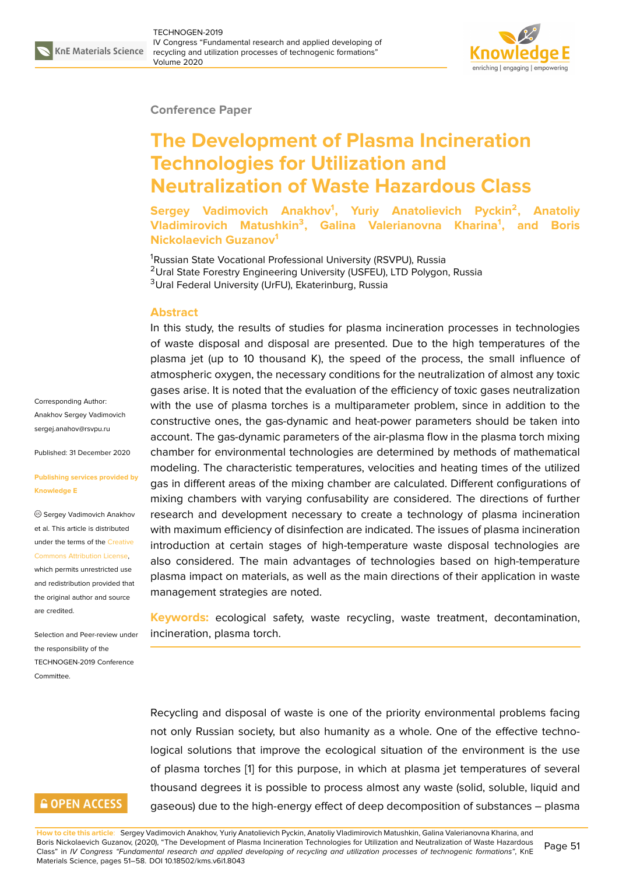

### **Conference Paper**

# **The Development of Plasma Incineration Technologies for Utilization and Neutralization of Waste Hazardous Class**

**Sergey Vadimovich Anakhov<sup>1</sup> , Yuriy Anatolievich Pyckin<sup>2</sup> , Anatoliy Vladimirovich Matushkin<sup>3</sup> , Galina Valerianovna Kharina<sup>1</sup> , and Boris Nickolaevich Guzanov<sup>1</sup>**

<sup>1</sup>Russian State Vocational Professional University (RSVPU), Russia <sup>2</sup>Ural State Forestry Engineering University (USFEU), LTD Polygon, Russia <sup>3</sup>Ural Federal University (UrFU), Ekaterinburg, Russia

## **Abstract**

In this study, the results of studies for plasma incineration processes in technologies of waste disposal and disposal are presented. Due to the high temperatures of the plasma jet (up to 10 thousand K), the speed of the process, the small influence of atmospheric oxygen, the necessary conditions for the neutralization of almost any toxic gases arise. It is noted that the evaluation of the efficiency of toxic gases neutralization with the use of plasma torches is a multiparameter problem, since in addition to the constructive ones, the gas-dynamic and heat-power parameters should be taken into account. The gas-dynamic parameters of the air-plasma flow in the plasma torch mixing chamber for environmental technologies are determined by methods of mathematical modeling. The characteristic temperatures, velocities and heating times of the utilized gas in different areas of the mixing chamber are calculated. Different configurations of mixing chambers with varying confusability are considered. The directions of further research and development necessary to create a technology of plasma incineration with maximum efficiency of disinfection are indicated. The issues of plasma incineration introduction at certain stages of high-temperature waste disposal technologies are also considered. The main advantages of technologies based on high-temperature plasma impact on materials, as well as the main directions of their application in waste management strategies are noted.

**Keywords:** ecological safety, waste recycling, waste treatment, decontamination, incineration, plasma torch.

Recycling and disposal of waste is one of the priority environmental problems facing not only Russian society, but also humanity as a whole. One of the effective technological solutions that improve the ecological situation of the environment is the use of plasma torches [1] for this purpose, in which at plasma jet temperatures of several thousand degrees it is possible to process almost any waste (solid, soluble, liquid and gaseous) due to the high-energy effect of deep decomposition of substances – plasma

Corresponding Author: Anakhov Sergey Vadimovich sergej.anahov@rsvpu.ru

Published: 31 December 2020

#### **[Publishing services pro](mailto:sergej.anahov@rsvpu.ru)vided by Knowledge E**

Sergey Vadimovich Anakhov et al. This article is distributed under the terms of the Creative Commons Attribution License,

which permits unrestricted use and redistribution provided that the original author and [source](https://creativecommons.org/licenses/by/4.0/) [are credited.](https://creativecommons.org/licenses/by/4.0/)

Selection and Peer-review under the responsibility of the TECHNOGEN-2019 Conference **Committee** 

# **GOPEN ACCESS**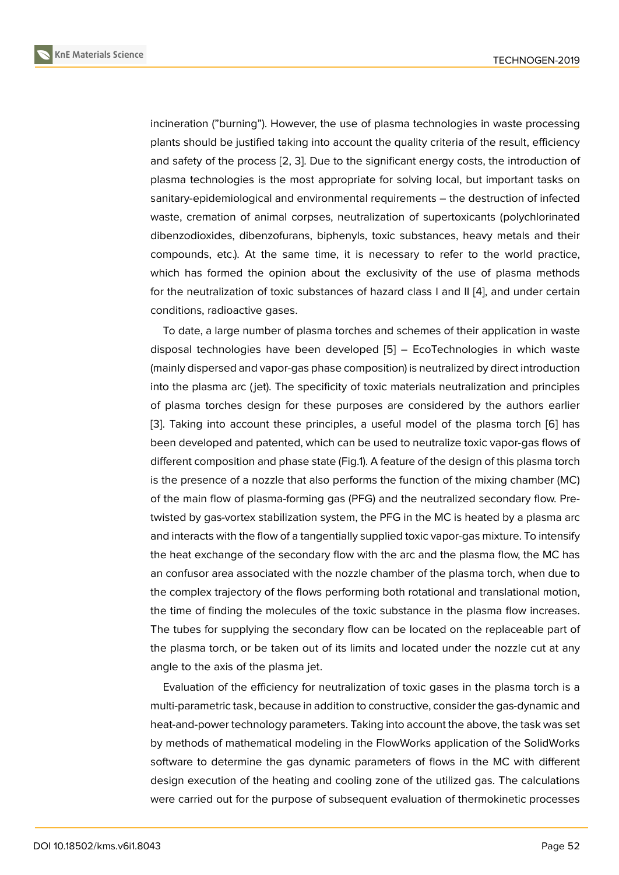incineration ("burning"). However, the use of plasma technologies in waste processing plants should be justified taking into account the quality criteria of the result, efficiency and safety of the process [2, 3]. Due to the significant energy costs, the introduction of plasma technologies is the most appropriate for solving local, but important tasks on sanitary-epidemiological and environmental requirements – the destruction of infected waste, cremation of anim[al](#page-6-0) [co](#page-7-0)rpses, neutralization of supertoxicants (polychlorinated dibenzodioxides, dibenzofurans, biphenyls, toxic substances, heavy metals and their compounds, etc.). At the same time, it is necessary to refer to the world practice, which has formed the opinion about the exclusivity of the use of plasma methods for the neutralization of toxic substances of hazard class I and II [4], and under certain conditions, radioactive gases.

To date, a large number of plasma torches and schemes of their application in waste disposal technologies have been developed [5] – EcoTechnol[og](#page-7-1)ies in which waste (mainly dispersed and vapor-gas phase composition) is neutralized by direct introduction into the plasma arc ( jet). The specificity of toxic materials neutralization and principles of plasma torches design for these purposes [ar](#page-7-2)e considered by the authors earlier [3]. Taking into account these principles, a useful model of the plasma torch [6] has been developed and patented, which can be used to neutralize toxic vapor-gas flows of different composition and phase state (Fig.1). A feature of the design of this plasma torch i[s](#page-7-0) the presence of a nozzle that also performs the function of the mixing chamb[er](#page-7-3) (MC) of the main flow of plasma-forming gas (PFG) and the neutralized secondary flow. Pretwisted by gas-vortex stabilization system, the PFG in the MC is heated by a plasma arc and interacts with the flow of a tangentially supplied toxic vapor-gas mixture. To intensify the heat exchange of the secondary flow with the arc and the plasma flow, the MC has an confusor area associated with the nozzle chamber of the plasma torch, when due to the complex trajectory of the flows performing both rotational and translational motion, the time of finding the molecules of the toxic substance in the plasma flow increases. The tubes for supplying the secondary flow can be located on the replaceable part of the plasma torch, or be taken out of its limits and located under the nozzle cut at any angle to the axis of the plasma jet.

Evaluation of the efficiency for neutralization of toxic gases in the plasma torch is a multi-parametric task, because in addition to constructive, consider the gas-dynamic and heat-and-power technology parameters. Taking into account the above, the task was set by methods of mathematical modeling in the FlowWorks application of the SolidWorks software to determine the gas dynamic parameters of flows in the MC with different design execution of the heating and cooling zone of the utilized gas. The calculations were carried out for the purpose of subsequent evaluation of thermokinetic processes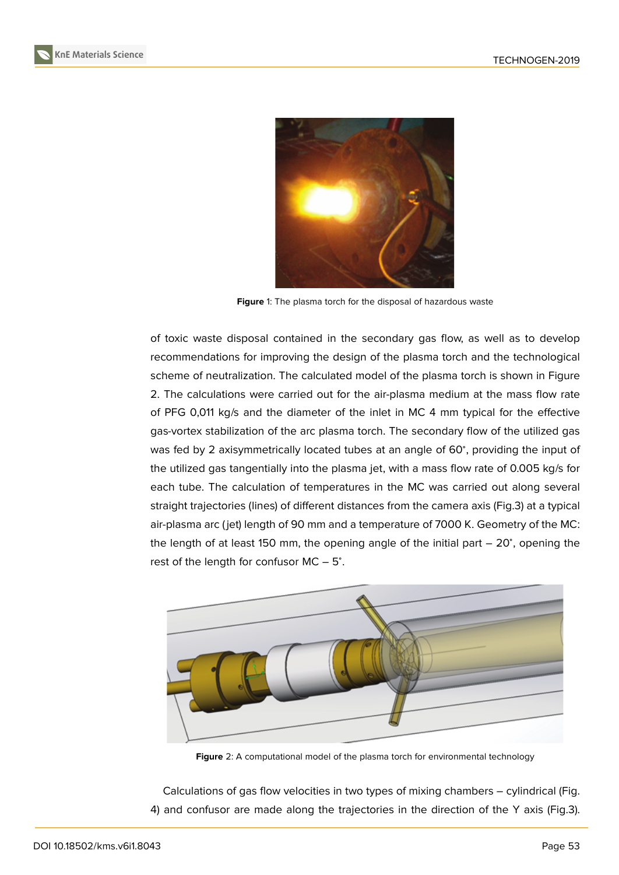

**Figure** 1: The plasma torch for the disposal of hazardous waste

of toxic waste disposal contained in the secondary gas flow, as well as to develop recommendations for improving the design of the plasma torch and the technological scheme of neutralization. The calculated model of the plasma torch is shown in Figure 2. The calculations were carried out for the air-plasma medium at the mass flow rate of PFG 0,011 kg/s and the diameter of the inlet in MC 4 mm typical for the effective gas-vortex stabilization of the arc plasma torch. The secondary flow of the utilized gas [w](#page-2-0)as fed by 2 axisymmetrically located tubes at an angle of 60°, providing the input of the utilized gas tangentially into the plasma jet, with a mass flow rate of 0.005 kg/s for each tube. The calculation of temperatures in the MC was carried out along several straight trajectories (lines) of different distances from the camera axis (Fig.3) at a typical air-plasma arc ( jet) length of 90 mm and a temperature of 7000 K. Geometry of the MC: the length of at least 150 mm, the opening angle of the initial part – 20°, opening the rest of the length for confusor  $MC - 5^\circ$ .



**Figure** 2: A computational model of the plasma torch for environmental technology

<span id="page-2-0"></span>Calculations of gas flow velocities in two types of mixing chambers – cylindrical (Fig. 4) and confusor are made along the trajectories in the direction of the Y axis (Fig.3).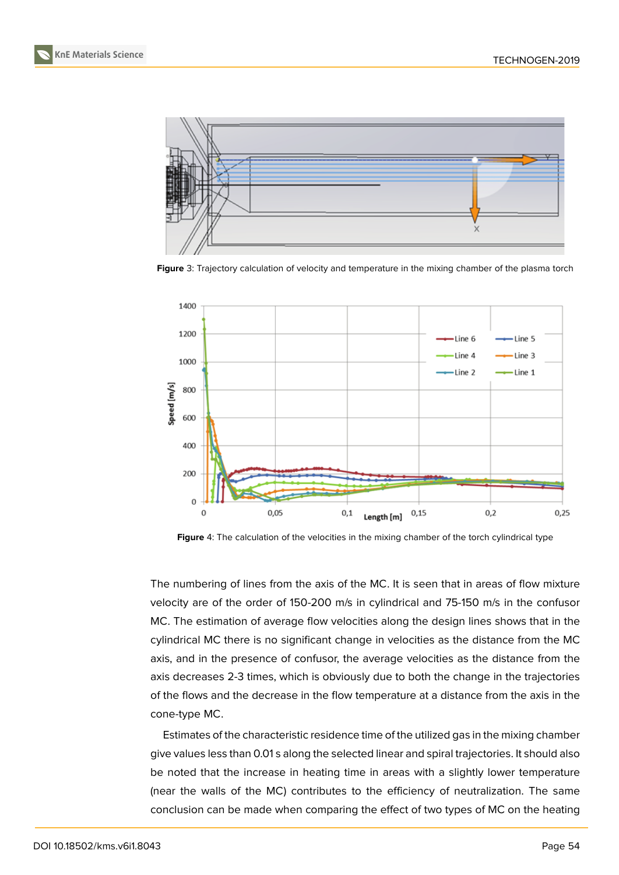



**Figure** 3: Trajectory calculation of velocity and temperature in the mixing chamber of the plasma torch



**Figure** 4: The calculation of the velocities in the mixing chamber of the torch cylindrical type

The numbering of lines from the axis of the MC. It is seen that in areas of flow mixture velocity are of the order of 150-200 m/s in cylindrical and 75-150 m/s in the confusor MC. The estimation of average flow velocities along the design lines shows that in the cylindrical MC there is no significant change in velocities as the distance from the MC axis, and in the presence of confusor, the average velocities as the distance from the axis decreases 2-3 times, which is obviously due to both the change in the trajectories of the flows and the decrease in the flow temperature at a distance from the axis in the cone-type MC.

Estimates of the characteristic residence time of the utilized gas in the mixing chamber give values less than 0.01 s along the selected linear and spiral trajectories. It should also be noted that the increase in heating time in areas with a slightly lower temperature (near the walls of the MC) contributes to the efficiency of neutralization. The same conclusion can be made when comparing the effect of two types of MC on the heating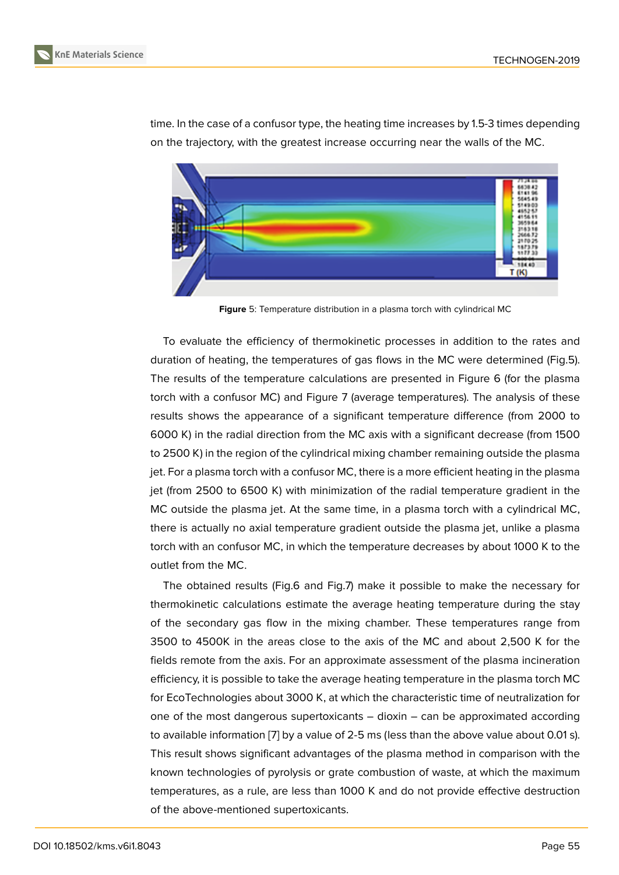

time. In the case of a confusor type, the heating time increases by 1.5-3 times depending on the trajectory, with the greatest increase occurring near the walls of the MC.

**Figure** 5: Temperature distribution in a plasma torch with cylindrical MC

To evaluate the efficiency of thermokinetic processes in addition to the rates and duration of heating, the temperatures of gas flows in the MC were determined (Fig.5). The results of the temperature calculations are presented in Figure 6 (for the plasma torch with a confusor MC) and Figure 7 (average temperatures). The analysis of these results shows the appearance of a significant temperature difference (from 2000 to 6000 K) in the radial direction from the MC axis with a significant de[cre](#page-5-0)ase (from 1500 to 2500 K) in the region of the cylindric[al](#page-5-1) mixing chamber remaining outside the plasma jet. For a plasma torch with a confusor MC, there is a more efficient heating in the plasma jet (from 2500 to 6500 K) with minimization of the radial temperature gradient in the MC outside the plasma jet. At the same time, in a plasma torch with a cylindrical MC, there is actually no axial temperature gradient outside the plasma jet, unlike a plasma torch with an confusor MC, in which the temperature decreases by about 1000 K to the outlet from the MC.

The obtained results (Fig.6 and Fig.7) make it possible to make the necessary for thermokinetic calculations estimate the average heating temperature during the stay of the secondary gas flow in the mixing chamber. These temperatures range from 3500 to 4500K in the areas close to the axis of the MC and about 2,500 K for the fields remote from the axis. For an approximate assessment of the plasma incineration efficiency, it is possible to take the average heating temperature in the plasma torch MC for EcoTechnologies about 3000 K, at which the characteristic time of neutralization for one of the most dangerous supertoxicants – dioxin – can be approximated according to available information [7] by a value of 2-5 ms (less than the above value about 0.01 s). This result shows significant advantages of the plasma method in comparison with the known technologies of pyrolysis or grate combustion of waste, at which the maximum temperatures, as a rule, [a](#page-7-4)re less than 1000 K and do not provide effective destruction of the above-mentioned supertoxicants.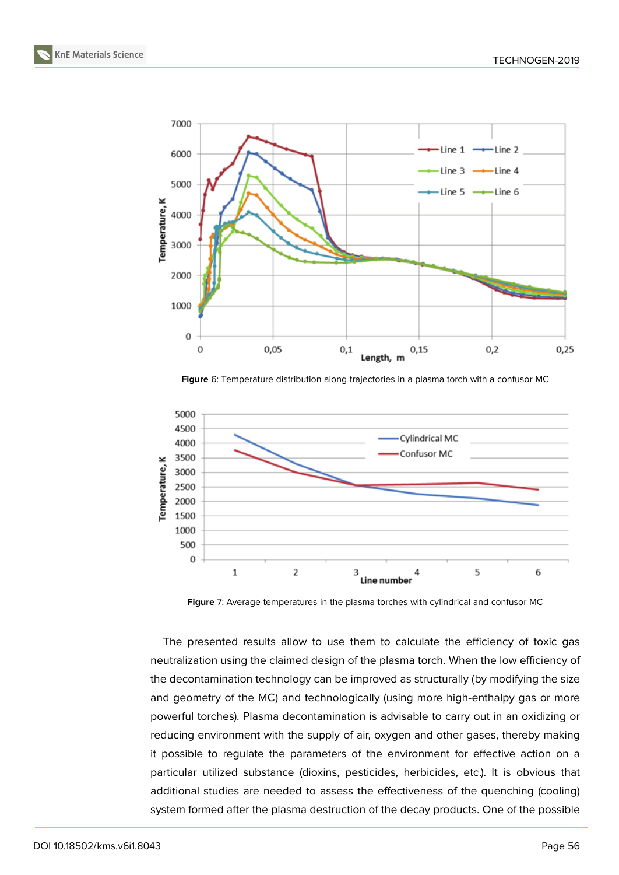**KnE Materials Science**



<span id="page-5-0"></span>**Figure** 6: Temperature distribution along trajectories in a plasma torch with a confusor MC



<span id="page-5-1"></span>**Figure** 7: Average temperatures in the plasma torches with cylindrical and confusor MC

The presented results allow to use them to calculate the efficiency of toxic gas neutralization using the claimed design of the plasma torch. When the low efficiency of the decontamination technology can be improved as structurally (by modifying the size and geometry of the MC) and technologically (using more high-enthalpy gas or more powerful torches). Plasma decontamination is advisable to carry out in an oxidizing or reducing environment with the supply of air, oxygen and other gases, thereby making it possible to regulate the parameters of the environment for effective action on a particular utilized substance (dioxins, pesticides, herbicides, etc.). It is obvious that additional studies are needed to assess the effectiveness of the quenching (cooling) system formed after the plasma destruction of the decay products. One of the possible

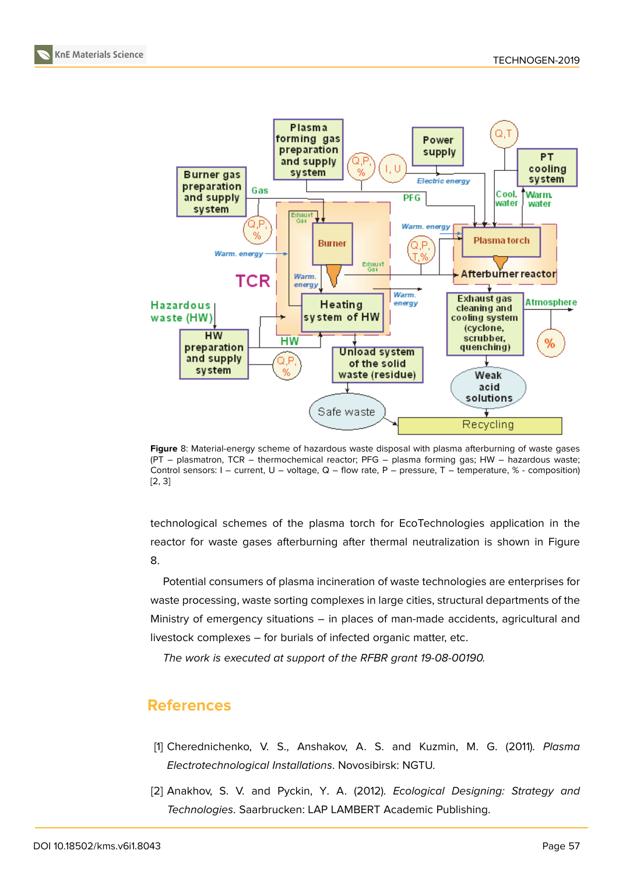

**Figure** 8: Material-energy scheme of hazardous waste disposal with plasma afterburning of waste gases (PT – plasmatron, TCR – thermochemical reactor; PFG – plasma forming gas; HW – hazardous waste; Control sensors: I – current, U – voltage, Q – flow rate, P – pressure, T – temperature, % - composition) [2, 3]

<span id="page-6-1"></span>technological schemes of the plasma torch for EcoTechnologies application in the [re](#page-6-0)[ac](#page-7-0)tor for waste gases afterburning after thermal neutralization is shown in Figure 8.

Potential consumers of plasma incineration of waste technologies are enterprises for waste processing, waste sorting complexes in large cities, structural departments of the [M](#page-6-1)inistry of emergency situations – in places of man-made accidents, agricultural and livestock complexes – for burials of infected organic matter, etc.

*The work is executed at support of the RFBR grant 19-08-00190.*

# **References**

- [1] Cherednichenko, V. S., Anshakov, A. S. and Kuzmin, M. G. (2011). *Plasma Electrotechnological Installations*. Novosibirsk: NGTU.
- <span id="page-6-0"></span>[2] Anakhov, S. V. and Pyckin, Y. A. (2012). *Ecological Designing: Strategy and Technologies*. Saarbrucken: LAP LAMBERT Academic Publishing.